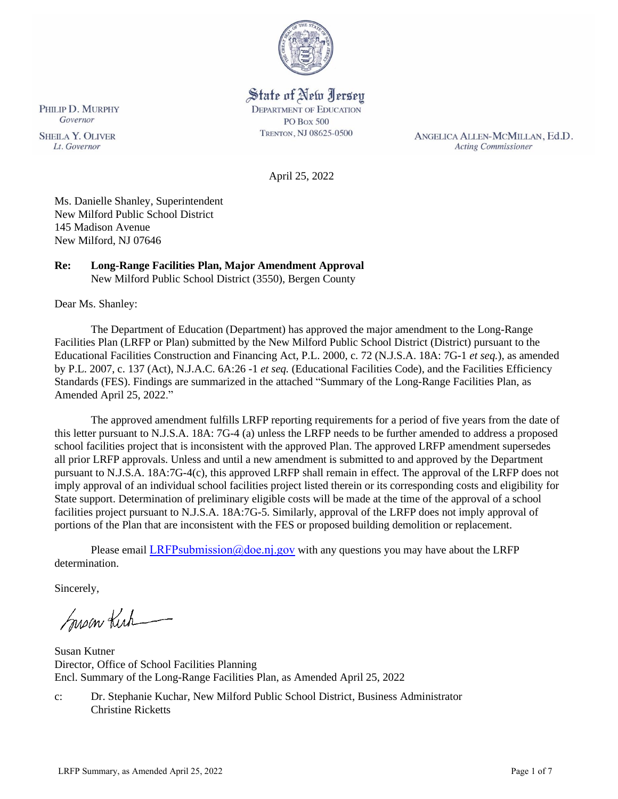

# State of New Jersey

**DEPARTMENT OF EDUCATION** PO Box 500 TRENTON, NJ 08625-0500

ANGELICA ALLEN-MCMILLAN, Ed.D. **Acting Commissioner** 

April 25, 2022

Ms. Danielle Shanley, Superintendent New Milford Public School District 145 Madison Avenue New Milford, NJ 07646

## **Re: Long-Range Facilities Plan, Major Amendment Approval**

New Milford Public School District (3550), Bergen County

Dear Ms. Shanley:

The Department of Education (Department) has approved the major amendment to the Long-Range Facilities Plan (LRFP or Plan) submitted by the New Milford Public School District (District) pursuant to the Educational Facilities Construction and Financing Act, P.L. 2000, c. 72 (N.J.S.A. 18A: 7G-1 *et seq.*), as amended by P.L. 2007, c. 137 (Act), N.J.A.C. 6A:26 -1 *et seq.* (Educational Facilities Code), and the Facilities Efficiency Standards (FES). Findings are summarized in the attached "Summary of the Long-Range Facilities Plan, as Amended April 25, 2022."

The approved amendment fulfills LRFP reporting requirements for a period of five years from the date of this letter pursuant to N.J.S.A. 18A: 7G-4 (a) unless the LRFP needs to be further amended to address a proposed school facilities project that is inconsistent with the approved Plan. The approved LRFP amendment supersedes all prior LRFP approvals. Unless and until a new amendment is submitted to and approved by the Department pursuant to N.J.S.A. 18A:7G-4(c), this approved LRFP shall remain in effect. The approval of the LRFP does not imply approval of an individual school facilities project listed therein or its corresponding costs and eligibility for State support. Determination of preliminary eligible costs will be made at the time of the approval of a school facilities project pursuant to N.J.S.A. 18A:7G-5. Similarly, approval of the LRFP does not imply approval of portions of the Plan that are inconsistent with the FES or proposed building demolition or replacement.

Please email LRFPsubmission  $@doen$  i.gov with any questions you may have about the LRFP determination.

Sincerely,

Susan Kich

Susan Kutner Director, Office of School Facilities Planning Encl. Summary of the Long-Range Facilities Plan, as Amended April 25, 2022

c: Dr. Stephanie Kuchar, New Milford Public School District, Business Administrator Christine Ricketts

PHILIP D. MURPHY Governor **SHEILA Y. OLIVER** 

Lt. Governor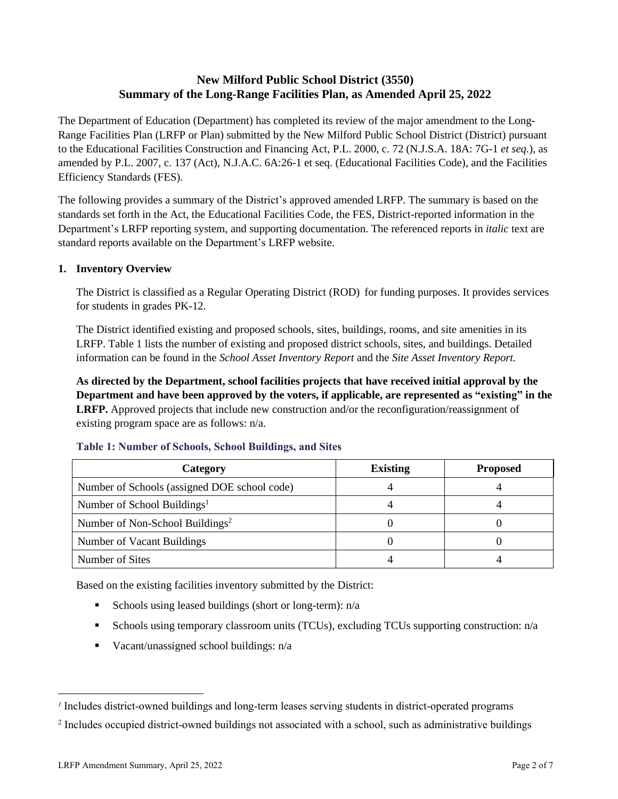# **New Milford Public School District (3550) Summary of the Long-Range Facilities Plan, as Amended April 25, 2022**

The Department of Education (Department) has completed its review of the major amendment to the Long-Range Facilities Plan (LRFP or Plan) submitted by the New Milford Public School District (District) pursuant to the Educational Facilities Construction and Financing Act, P.L. 2000, c. 72 (N.J.S.A. 18A: 7G-1 *et seq.*), as amended by P.L. 2007, c. 137 (Act), N.J.A.C. 6A:26-1 et seq. (Educational Facilities Code), and the Facilities Efficiency Standards (FES).

The following provides a summary of the District's approved amended LRFP. The summary is based on the standards set forth in the Act, the Educational Facilities Code, the FES, District-reported information in the Department's LRFP reporting system, and supporting documentation. The referenced reports in *italic* text are standard reports available on the Department's LRFP website.

## **1. Inventory Overview**

The District is classified as a Regular Operating District (ROD) for funding purposes. It provides services for students in grades PK-12.

The District identified existing and proposed schools, sites, buildings, rooms, and site amenities in its LRFP. Table 1 lists the number of existing and proposed district schools, sites, and buildings. Detailed information can be found in the *School Asset Inventory Report* and the *Site Asset Inventory Report.*

**As directed by the Department, school facilities projects that have received initial approval by the Department and have been approved by the voters, if applicable, are represented as "existing" in the LRFP.** Approved projects that include new construction and/or the reconfiguration/reassignment of existing program space are as follows: n/a.

| Category                                     | <b>Existing</b> | <b>Proposed</b> |
|----------------------------------------------|-----------------|-----------------|
| Number of Schools (assigned DOE school code) |                 |                 |
| Number of School Buildings <sup>1</sup>      |                 |                 |
| Number of Non-School Buildings <sup>2</sup>  |                 |                 |
| Number of Vacant Buildings                   |                 |                 |
| Number of Sites                              |                 |                 |

### **Table 1: Number of Schools, School Buildings, and Sites**

Based on the existing facilities inventory submitted by the District:

- **Exercise** Schools using leased buildings (short or long-term):  $n/a$
- Schools using temporary classroom units (TCUs), excluding TCUs supporting construction: n/a
- $\blacksquare$  Vacant/unassigned school buildings:  $n/a$

*<sup>1</sup>* Includes district-owned buildings and long-term leases serving students in district-operated programs

<sup>&</sup>lt;sup>2</sup> Includes occupied district-owned buildings not associated with a school, such as administrative buildings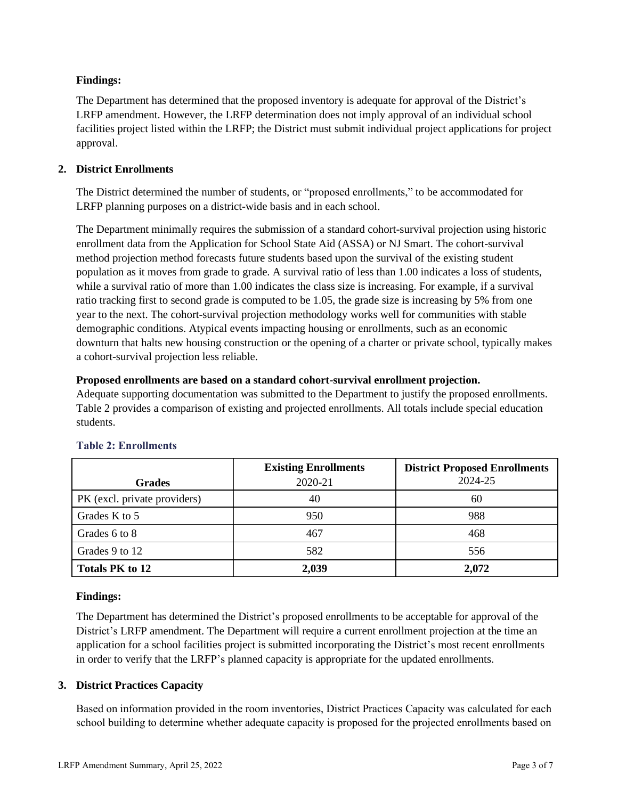### **Findings:**

The Department has determined that the proposed inventory is adequate for approval of the District's LRFP amendment. However, the LRFP determination does not imply approval of an individual school facilities project listed within the LRFP; the District must submit individual project applications for project approval.

## **2. District Enrollments**

The District determined the number of students, or "proposed enrollments," to be accommodated for LRFP planning purposes on a district-wide basis and in each school.

The Department minimally requires the submission of a standard cohort-survival projection using historic enrollment data from the Application for School State Aid (ASSA) or NJ Smart. The cohort-survival method projection method forecasts future students based upon the survival of the existing student population as it moves from grade to grade. A survival ratio of less than 1.00 indicates a loss of students, while a survival ratio of more than 1.00 indicates the class size is increasing. For example, if a survival ratio tracking first to second grade is computed to be 1.05, the grade size is increasing by 5% from one year to the next. The cohort-survival projection methodology works well for communities with stable demographic conditions. Atypical events impacting housing or enrollments, such as an economic downturn that halts new housing construction or the opening of a charter or private school, typically makes a cohort-survival projection less reliable.

### **Proposed enrollments are based on a standard cohort-survival enrollment projection.**

Adequate supporting documentation was submitted to the Department to justify the proposed enrollments. Table 2 provides a comparison of existing and projected enrollments. All totals include special education students.

|                              | <b>Existing Enrollments</b> | <b>District Proposed Enrollments</b> |
|------------------------------|-----------------------------|--------------------------------------|
| <b>Grades</b>                | 2020-21                     | 2024-25                              |
| PK (excl. private providers) | 40                          | 60                                   |
| Grades K to 5                | 950                         | 988                                  |
| Grades 6 to 8                | 467                         | 468                                  |
| Grades 9 to 12               | 582                         | 556                                  |
| <b>Totals PK to 12</b>       | 2,039                       | 2,072                                |

# **Table 2: Enrollments**

### **Findings:**

The Department has determined the District's proposed enrollments to be acceptable for approval of the District's LRFP amendment. The Department will require a current enrollment projection at the time an application for a school facilities project is submitted incorporating the District's most recent enrollments in order to verify that the LRFP's planned capacity is appropriate for the updated enrollments.

### **3. District Practices Capacity**

Based on information provided in the room inventories, District Practices Capacity was calculated for each school building to determine whether adequate capacity is proposed for the projected enrollments based on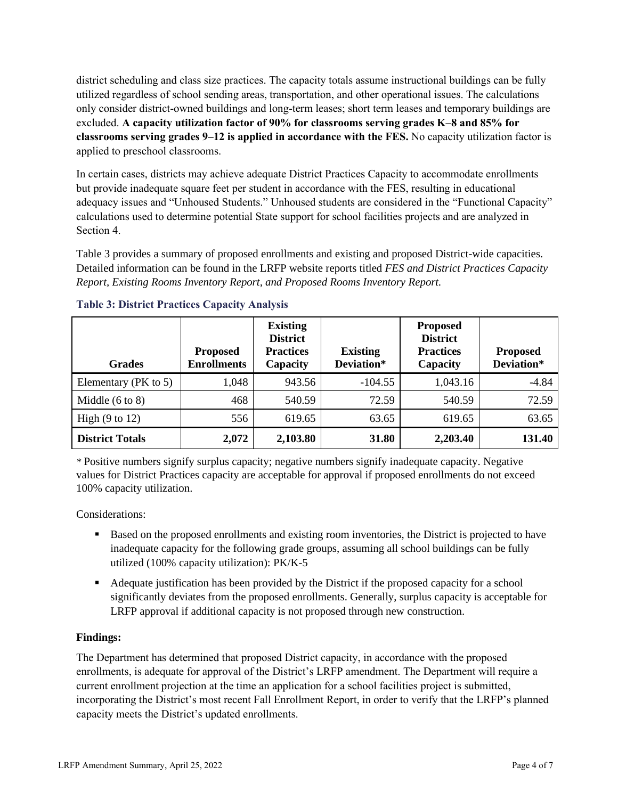district scheduling and class size practices. The capacity totals assume instructional buildings can be fully utilized regardless of school sending areas, transportation, and other operational issues. The calculations only consider district-owned buildings and long-term leases; short term leases and temporary buildings are excluded. **A capacity utilization factor of 90% for classrooms serving grades K–8 and 85% for classrooms serving grades 9–12 is applied in accordance with the FES.** No capacity utilization factor is applied to preschool classrooms.

In certain cases, districts may achieve adequate District Practices Capacity to accommodate enrollments but provide inadequate square feet per student in accordance with the FES, resulting in educational adequacy issues and "Unhoused Students." Unhoused students are considered in the "Functional Capacity" calculations used to determine potential State support for school facilities projects and are analyzed in Section 4.

Table 3 provides a summary of proposed enrollments and existing and proposed District-wide capacities. Detailed information can be found in the LRFP website reports titled *FES and District Practices Capacity Report, Existing Rooms Inventory Report, and Proposed Rooms Inventory Report.*

| <b>Grades</b>              | <b>Proposed</b><br><b>Enrollments</b> | <b>Existing</b><br><b>District</b><br><b>Practices</b><br>Capacity | <b>Existing</b><br>Deviation* | <b>Proposed</b><br><b>District</b><br><b>Practices</b><br>Capacity | <b>Proposed</b><br>Deviation* |
|----------------------------|---------------------------------------|--------------------------------------------------------------------|-------------------------------|--------------------------------------------------------------------|-------------------------------|
| Elementary ( $PK$ to 5)    | 1,048                                 | 943.56                                                             | $-104.55$                     | 1,043.16                                                           | $-4.84$                       |
| Middle $(6 \text{ to } 8)$ | 468                                   | 540.59                                                             | 72.59                         | 540.59                                                             | 72.59                         |
| High $(9 \text{ to } 12)$  | 556                                   | 619.65                                                             | 63.65                         | 619.65                                                             | 63.65                         |
| <b>District Totals</b>     | 2,072                                 | 2,103.80                                                           | 31.80                         | 2,203.40                                                           | 131.40                        |

### **Table 3: District Practices Capacity Analysis**

*\** Positive numbers signify surplus capacity; negative numbers signify inadequate capacity. Negative values for District Practices capacity are acceptable for approval if proposed enrollments do not exceed 100% capacity utilization.

Considerations:

- Based on the proposed enrollments and existing room inventories, the District is projected to have inadequate capacity for the following grade groups, assuming all school buildings can be fully utilized (100% capacity utilization): PK/K-5
- Adequate justification has been provided by the District if the proposed capacity for a school significantly deviates from the proposed enrollments. Generally, surplus capacity is acceptable for LRFP approval if additional capacity is not proposed through new construction.

# **Findings:**

The Department has determined that proposed District capacity, in accordance with the proposed enrollments, is adequate for approval of the District's LRFP amendment. The Department will require a current enrollment projection at the time an application for a school facilities project is submitted, incorporating the District's most recent Fall Enrollment Report, in order to verify that the LRFP's planned capacity meets the District's updated enrollments.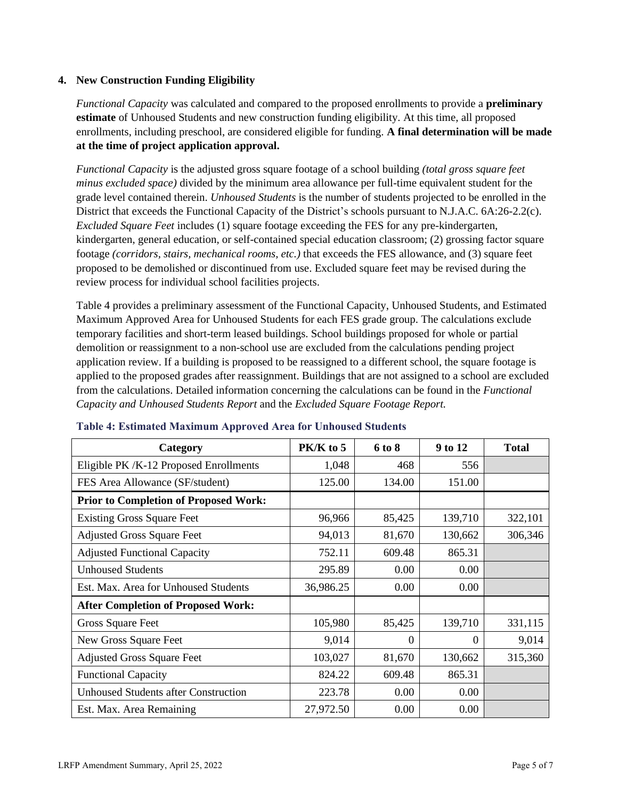#### **4. New Construction Funding Eligibility**

*Functional Capacity* was calculated and compared to the proposed enrollments to provide a **preliminary estimate** of Unhoused Students and new construction funding eligibility. At this time, all proposed enrollments, including preschool, are considered eligible for funding. **A final determination will be made at the time of project application approval.**

*Functional Capacity* is the adjusted gross square footage of a school building *(total gross square feet minus excluded space)* divided by the minimum area allowance per full-time equivalent student for the grade level contained therein. *Unhoused Students* is the number of students projected to be enrolled in the District that exceeds the Functional Capacity of the District's schools pursuant to N.J.A.C. 6A:26-2.2(c). *Excluded Square Feet* includes (1) square footage exceeding the FES for any pre-kindergarten, kindergarten, general education, or self-contained special education classroom; (2) grossing factor square footage *(corridors, stairs, mechanical rooms, etc.)* that exceeds the FES allowance, and (3) square feet proposed to be demolished or discontinued from use. Excluded square feet may be revised during the review process for individual school facilities projects.

Table 4 provides a preliminary assessment of the Functional Capacity, Unhoused Students, and Estimated Maximum Approved Area for Unhoused Students for each FES grade group. The calculations exclude temporary facilities and short-term leased buildings. School buildings proposed for whole or partial demolition or reassignment to a non-school use are excluded from the calculations pending project application review. If a building is proposed to be reassigned to a different school, the square footage is applied to the proposed grades after reassignment. Buildings that are not assigned to a school are excluded from the calculations. Detailed information concerning the calculations can be found in the *Functional Capacity and Unhoused Students Report* and the *Excluded Square Footage Report.*

| Category                                     | PK/K to 5 | 6 to 8 | 9 to 12  | <b>Total</b> |
|----------------------------------------------|-----------|--------|----------|--------------|
| Eligible PK/K-12 Proposed Enrollments        | 1,048     | 468    | 556      |              |
| FES Area Allowance (SF/student)              | 125.00    | 134.00 | 151.00   |              |
| <b>Prior to Completion of Proposed Work:</b> |           |        |          |              |
| <b>Existing Gross Square Feet</b>            | 96,966    | 85,425 | 139,710  | 322,101      |
| <b>Adjusted Gross Square Feet</b>            | 94,013    | 81,670 | 130,662  | 306,346      |
| <b>Adjusted Functional Capacity</b>          | 752.11    | 609.48 | 865.31   |              |
| <b>Unhoused Students</b>                     | 295.89    | 0.00   | 0.00     |              |
| Est. Max. Area for Unhoused Students         | 36,986.25 | 0.00   | 0.00     |              |
| <b>After Completion of Proposed Work:</b>    |           |        |          |              |
| Gross Square Feet                            | 105,980   | 85,425 | 139,710  | 331,115      |
| New Gross Square Feet                        | 9,014     | 0      | $\Omega$ | 9,014        |
| <b>Adjusted Gross Square Feet</b>            | 103,027   | 81,670 | 130,662  | 315,360      |
| <b>Functional Capacity</b>                   | 824.22    | 609.48 | 865.31   |              |
| <b>Unhoused Students after Construction</b>  | 223.78    | 0.00   | 0.00     |              |
| Est. Max. Area Remaining                     | 27,972.50 | 0.00   | 0.00     |              |

#### **Table 4: Estimated Maximum Approved Area for Unhoused Students**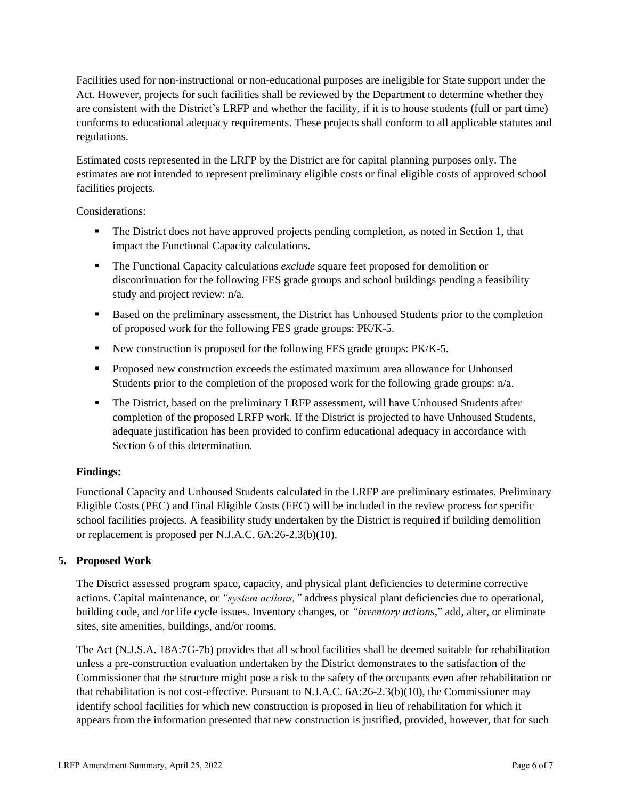Facilities used for non-instructional or non-educational purposes are ineligible for State support under the Act. However, projects for such facilities shall be reviewed by the Department to determine whether they are consistent with the District's LRFP and whether the facility, if it is to house students (full or part time) conforms to educational adequacy requirements. These projects shall conform to all applicable statutes and regulations.

Estimated costs represented in the LRFP by the District are for capital planning purposes only. The estimates are not intended to represent preliminary eligible costs or final eligible costs of approved school facilities projects.

Considerations:

- **•** The District does not have approved projects pending completion, as noted in Section 1, that impact the Functional Capacity calculations.
- The Functional Capacity calculations *exclude* square feet proposed for demolition or discontinuation for the following FES grade groups and school buildings pending a feasibility study and project review: n/a.
- Based on the preliminary assessment, the District has Unhoused Students prior to the completion of proposed work for the following FES grade groups: PK/K-5.
- New construction is proposed for the following FES grade groups: PK/K-5.
- Proposed new construction exceeds the estimated maximum area allowance for Unhoused Students prior to the completion of the proposed work for the following grade groups: n/a.
- **•** The District, based on the preliminary LRFP assessment, will have Unhoused Students after completion of the proposed LRFP work. If the District is projected to have Unhoused Students, adequate justification has been provided to confirm educational adequacy in accordance with Section 6 of this determination.

### **Findings:**

Functional Capacity and Unhoused Students calculated in the LRFP are preliminary estimates. Preliminary Eligible Costs (PEC) and Final Eligible Costs (FEC) will be included in the review process for specific school facilities projects. A feasibility study undertaken by the District is required if building demolition or replacement is proposed per N.J.A.C. 6A:26-2.3(b)(10).

### **5. Proposed Work**

The District assessed program space, capacity, and physical plant deficiencies to determine corrective actions. Capital maintenance, or *"system actions,"* address physical plant deficiencies due to operational, building code, and /or life cycle issues. Inventory changes, or *"inventory actions,*" add, alter, or eliminate sites, site amenities, buildings, and/or rooms.

The Act (N.J.S.A. 18A:7G-7b) provides that all school facilities shall be deemed suitable for rehabilitation unless a pre-construction evaluation undertaken by the District demonstrates to the satisfaction of the Commissioner that the structure might pose a risk to the safety of the occupants even after rehabilitation or that rehabilitation is not cost-effective. Pursuant to N.J.A.C. 6A:26-2.3(b)(10), the Commissioner may identify school facilities for which new construction is proposed in lieu of rehabilitation for which it appears from the information presented that new construction is justified, provided, however, that for such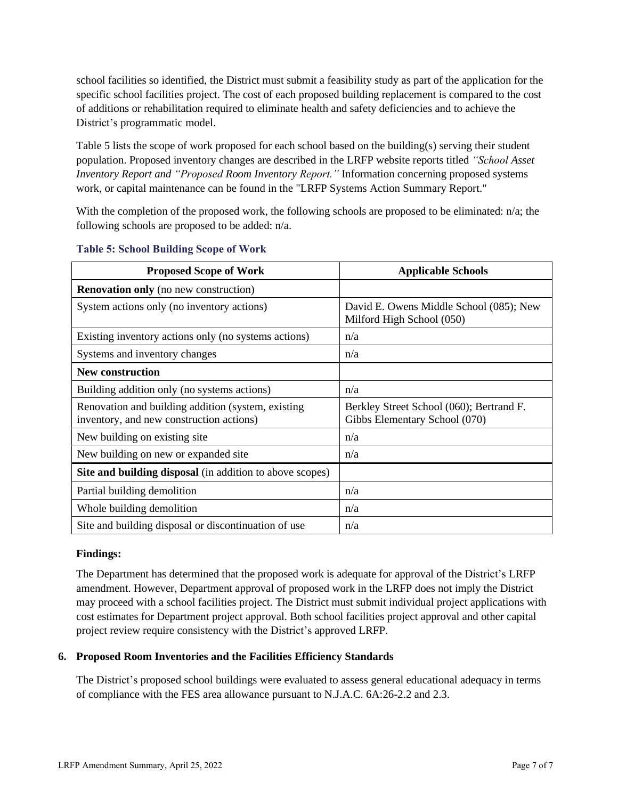school facilities so identified, the District must submit a feasibility study as part of the application for the specific school facilities project. The cost of each proposed building replacement is compared to the cost of additions or rehabilitation required to eliminate health and safety deficiencies and to achieve the District's programmatic model.

Table 5 lists the scope of work proposed for each school based on the building(s) serving their student population. Proposed inventory changes are described in the LRFP website reports titled *"School Asset Inventory Report and "Proposed Room Inventory Report."* Information concerning proposed systems work, or capital maintenance can be found in the "LRFP Systems Action Summary Report."

With the completion of the proposed work, the following schools are proposed to be eliminated: n/a; the following schools are proposed to be added: n/a.

| <b>Proposed Scope of Work</b>                                                                  | <b>Applicable Schools</b>                                                 |
|------------------------------------------------------------------------------------------------|---------------------------------------------------------------------------|
| <b>Renovation only</b> (no new construction)                                                   |                                                                           |
| System actions only (no inventory actions)                                                     | David E. Owens Middle School (085); New<br>Milford High School (050)      |
| Existing inventory actions only (no systems actions)                                           | n/a                                                                       |
| Systems and inventory changes                                                                  | n/a                                                                       |
| <b>New construction</b>                                                                        |                                                                           |
| Building addition only (no systems actions)                                                    | n/a                                                                       |
| Renovation and building addition (system, existing<br>inventory, and new construction actions) | Berkley Street School (060); Bertrand F.<br>Gibbs Elementary School (070) |
| New building on existing site                                                                  | n/a                                                                       |
| New building on new or expanded site                                                           | n/a                                                                       |
| Site and building disposal (in addition to above scopes)                                       |                                                                           |
| Partial building demolition                                                                    | n/a                                                                       |
| Whole building demolition                                                                      | n/a                                                                       |
| Site and building disposal or discontinuation of use                                           | n/a                                                                       |

#### **Table 5: School Building Scope of Work**

#### **Findings:**

The Department has determined that the proposed work is adequate for approval of the District's LRFP amendment. However, Department approval of proposed work in the LRFP does not imply the District may proceed with a school facilities project. The District must submit individual project applications with cost estimates for Department project approval. Both school facilities project approval and other capital project review require consistency with the District's approved LRFP.

#### **6. Proposed Room Inventories and the Facilities Efficiency Standards**

The District's proposed school buildings were evaluated to assess general educational adequacy in terms of compliance with the FES area allowance pursuant to N.J.A.C. 6A:26-2.2 and 2.3.